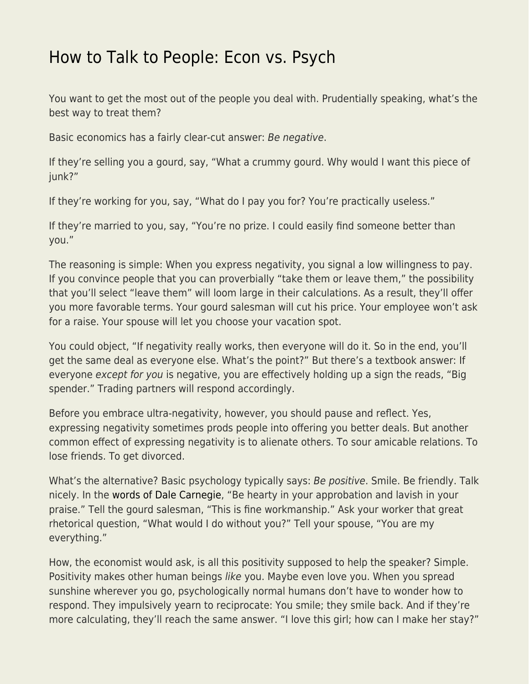## [How to Talk to People: Econ vs. Psych](https://everything-voluntary.com/how-to-talk-to-people-econ-vs-psych)

You want to get the most out of the people you deal with. Prudentially speaking, what's the best way to treat them?

Basic economics has a fairly clear-cut answer: Be negative.

If they're selling you a gourd, say, "What a crummy gourd. Why would I want this piece of junk?"

If they're working for you, say, "What do I pay you for? You're practically useless."

If they're married to you, say, "You're no prize. I could easily find someone better than you."

The reasoning is simple: When you express negativity, you signal a low willingness to pay. If you convince people that you can proverbially "take them or leave them," the possibility that you'll select "leave them" will loom large in their calculations. As a result, they'll offer you more favorable terms. Your gourd salesman will cut his price. Your employee won't ask for a raise. Your spouse will let you choose your vacation spot.

You could object, "If negativity really works, then everyone will do it. So in the end, you'll get the same deal as everyone else. What's the point?" But there's a textbook answer: If everyone except for you is negative, you are effectively holding up a sign the reads, "Big spender." Trading partners will respond accordingly.

Before you embrace ultra-negativity, however, you should pause and reflect. Yes, expressing negativity sometimes prods people into offering you better deals. But another common effect of expressing negativity is to alienate others. To sour amicable relations. To lose friends. To get divorced.

What's the alternative? Basic psychology typically says: Be positive. Smile. Be friendly. Talk nicely. In the [words of Dale Carnegie](https://www.econlib.org/how-to-win-friends-and-influence-people-book-club-part-3/), "Be hearty in your approbation and lavish in your praise." Tell the gourd salesman, "This is fine workmanship." Ask your worker that great rhetorical question, "What would I do without you?" Tell your spouse, "You are my everything."

How, the economist would ask, is all this positivity supposed to help the speaker? Simple. Positivity makes other human beings like you. Maybe even love you. When you spread sunshine wherever you go, psychologically normal humans don't have to wonder how to respond. They impulsively yearn to reciprocate: You smile; they smile back. And if they're more calculating, they'll reach the same answer. "I love this girl; how can I make her stay?"